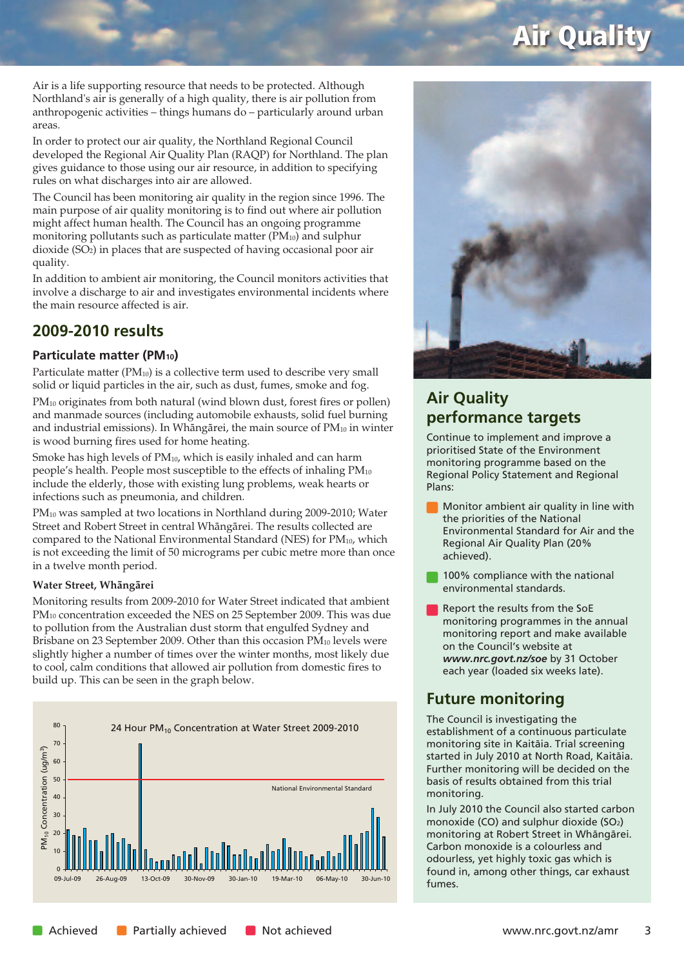## **Air Quality**

Air is a life supporting resource that needs to be protected. Although Northland's air is generally of a high quality, there is air pollution from anthropogenic activities – things humans do – particularly around urban areas.

In order to protect our air quality, the Northland Regional Council developed the Regional Air Quality Plan (RAQP) for Northland. The plan gives guidance to those using our air resource, in addition to specifying rules on what discharges into air are allowed.

The Council has been monitoring air quality in the region since 1996. The main purpose of air quality monitoring is to find out where air pollution might affect human health. The Council has an ongoing programme monitoring pollutants such as particulate matter (PM10) and sulphur dioxide (SO2) in places that are suspected of having occasional poor air quality.

In addition to ambient air monitoring, the Council monitors activities that involve a discharge to air and investigates environmental incidents where the main resource affected is air.

## **2009-2010 results**

### **Particulate matter (PM10)**

Particulate matter (PM<sub>10</sub>) is a collective term used to describe very small solid or liquid particles in the air, such as dust, fumes, smoke and fog.

PM<sub>10</sub> originates from both natural (wind blown dust, forest fires or pollen) and manmade sources (including automobile exhausts, solid fuel burning and industrial emissions). In Whāngārei, the main source of PM<sub>10</sub> in winter is wood burning fires used for home heating.

Smoke has high levels of PM10, which is easily inhaled and can harm people's health. People most susceptible to the effects of inhaling PM10 include the elderly, those with existing lung problems, weak hearts or infections such as pneumonia, and children.

PM10 was sampled at two locations in Northland during 2009-2010; Water Street and Robert Street in central Whängärei. The results collected are compared to the National Environmental Standard (NES) for PM10, which is not exceeding the limit of 50 micrograms per cubic metre more than once in a twelve month period.

### **Water Street, Whängärei**

Monitoring results from 2009-2010 for Water Street indicated that ambient PM10 concentration exceeded the NES on 25 September 2009. This was due to pollution from the Australian dust storm that engulfed Sydney and Brisbane on 23 September 2009. Other than this occasion PM<sub>10</sub> levels were slightly higher a number of times over the winter months, most likely due to cool, calm conditions that allowed air pollution from domestic fires to build up. This can be seen in the graph below.





## **Air Quality performance targets**

Continue to implement and improve a prioritised State of the Environment monitoring programme based on the Regional Policy Statement and Regional Plans:

- Monitor ambient air quality in line with the priorities of the National Environmental Standard for Air and the Regional Air Quality Plan (20% achieved).
- 100% compliance with the national environmental standards.
- Report the results from the SoE monitoring programmes in the annual monitoring report and make available on the Council's website at *www.nrc.govt.nz/soe* by 31 October each year (loaded six weeks late).

## **Future monitoring**

The Council is investigating the establishment of a continuous particulate monitoring site in Kaitäia. Trial screening started in July 2010 at North Road, Kaitäia. Further monitoring will be decided on the basis of results obtained from this trial monitoring.

In July 2010 the Council also started carbon monoxide (CO) and sulphur dioxide (SO2) monitoring at Robert Street in Whängärei. Carbon monoxide is a colourless and odourless, yet highly toxic gas which is found in, among other things, car exhaust fumes.